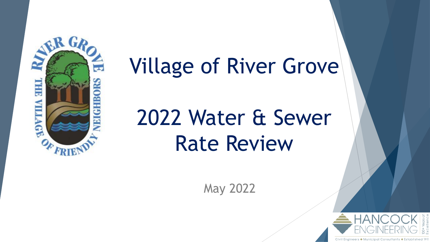

## Village of River Grove

# 2022 Water & Sewer Rate Review

May 2022

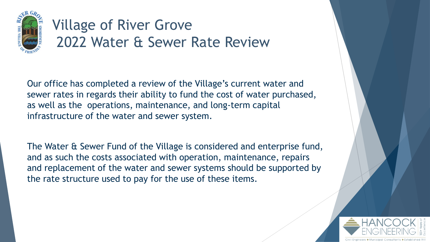

Our office has completed a review of the Village's current water and sewer rates in regards their ability to fund the cost of water purchased, as well as the operations, maintenance, and long-term capital infrastructure of the water and sewer system.

The Water & Sewer Fund of the Village is considered and enterprise fund, and as such the costs associated with operation, maintenance, repairs and replacement of the water and sewer systems should be supported by the rate structure used to pay for the use of these items.

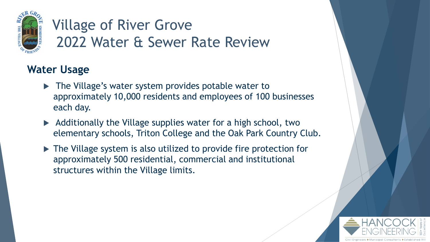

#### **Water Usage**

- ▶ The Village's water system provides potable water to approximately 10,000 residents and employees of 100 businesses each day.
- $\blacktriangleright$  Additionally the Village supplies water for a high school, two elementary schools, Triton College and the Oak Park Country Club.
- ▶ The Village system is also utilized to provide fire protection for approximately 500 residential, commercial and institutional structures within the Village limits.

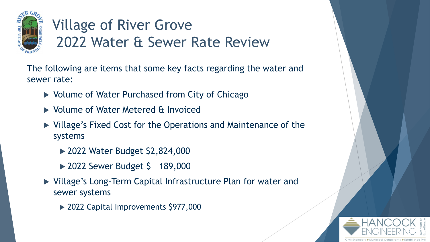

The following are items that some key facts regarding the water and sewer rate:

- ▶ Volume of Water Purchased from City of Chicago
- ▶ Volume of Water Metered & Invoiced
- Village's Fixed Cost for the Operations and Maintenance of the systems
	- ▶ 2022 Water Budget \$2,824,000
	- ▶ 2022 Sewer Budget \$ 189,000
- Village's Long-Term Capital Infrastructure Plan for water and sewer systems
	- ▶ 2022 Capital Improvements \$977,000

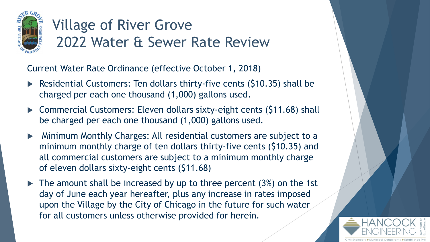

Current Water Rate Ordinance (effective October 1, 2018)

- Residential Customers: Ten dollars thirty-five cents (\$10.35) shall be charged per each one thousand (1,000) gallons used.
- ▶ Commercial Customers: Eleven dollars sixty-eight cents (\$11.68) shall be charged per each one thousand (1,000) gallons used.
- Minimum Monthly Charges: All residential customers are subject to a minimum monthly charge of ten dollars thirty-five cents (\$10.35) and all commercial customers are subject to a minimum monthly charge of eleven dollars sixty-eight cents (\$11.68)
- $\blacktriangleright$  The amount shall be increased by up to three percent (3%) on the 1st day of June each year hereafter, plus any increase in rates imposed upon the Village by the City of Chicago in the future for such water for all customers unless otherwise provided for herein.

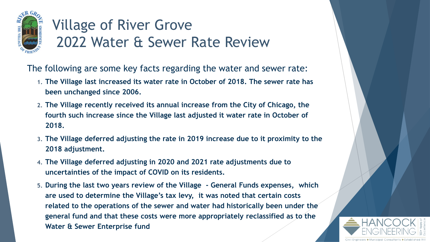

The following are some key facts regarding the water and sewer rate:

- **1. The Village last increased its water rate in October of 2018. The sewer rate has been unchanged since 2006.**
- **2. The Village recently received its annual increase from the City of Chicago, the fourth such increase since the Village last adjusted it water rate in October of 2018.**
- **3. The Village deferred adjusting the rate in 2019 increase due to it proximity to the 2018 adjustment.**
- **4. The Village deferred adjusting in 2020 and 2021 rate adjustments due to uncertainties of the impact of COVID on its residents.**
- **5. During the last two years review of the Village - General Funds expenses, which are used to determine the Village's tax levy, it was noted that certain costs related to the operations of the sewer and water had historically been under the general fund and that these costs were more appropriately reclassified as to the Water & Sewer Enterprise fund**

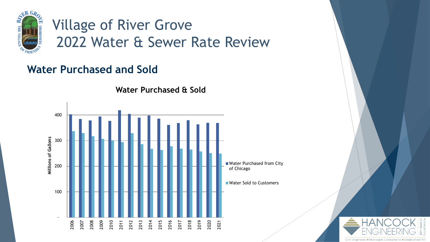

#### **Water Purchased and Sold**



**Water Purchased & Sold**

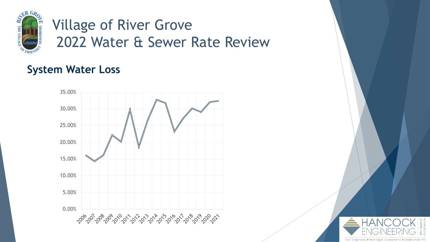

#### **System Water Loss**



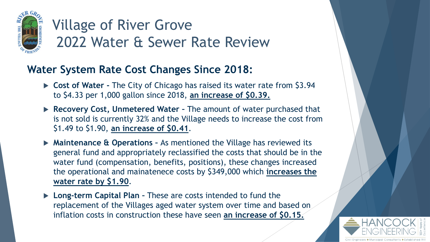

#### **Water System Rate Cost Changes Since 2018:**

- **Cost of Water -** The City of Chicago has raised its water rate from \$3.94 to \$4.33 per 1,000 gallon since 2018, **an increase of \$0.39.**
- **Recovery Cost, Unmetered Water –** The amount of water purchased that is not sold is currently 32% and the Village needs to increase the cost from \$1.49 to \$1.90, **an increase of \$0.41**.
- **► Maintenance & Operations As mentioned the Village has reviewed its** general fund and appropriately reclassified the costs that should be in the water fund (compensation, benefits, positions), these changes increased the operational and mainatenece costs by \$349,000 which **increases the water rate by \$1.90**.
- **Long-term Capital Plan –** These are costs intended to fund the replacement of the Villages aged water system over time and based on inflation costs in construction these have seen **an increase of \$0.15.**

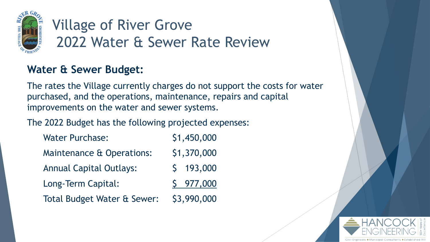

#### **Water & Sewer Budget:**

The rates the Village currently charges do not support the costs for water purchased, and the operations, maintenance, repairs and capital improvements on the water and sewer systems.

The 2022 Budget has the following projected expenses:

| <b>Water Purchase:</b>                 | \$1,450,000 |
|----------------------------------------|-------------|
| Maintenance & Operations:              | \$1,370,000 |
| <b>Annual Capital Outlays:</b>         | \$193,000   |
| Long-Term Capital:                     | \$977,000   |
| <b>Total Budget Water &amp; Sewer:</b> | \$3,990,000 |

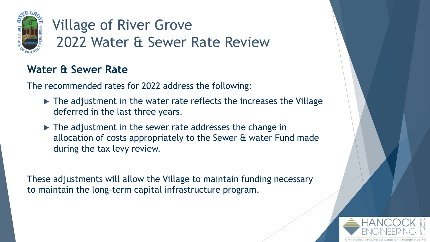

#### **Water & Sewer Rate**

The recommended rates for 2022 address the following:

- $\blacktriangleright$  The adjustment in the water rate reflects the increases the Village deferred in the last three years.
- ▶ The adjustment in the sewer rate addresses the change in allocation of costs appropriately to the Sewer & water Fund made during the tax levy review.

These adjustments will allow the Village to maintain funding necessary to maintain the long-term capital infrastructure program.